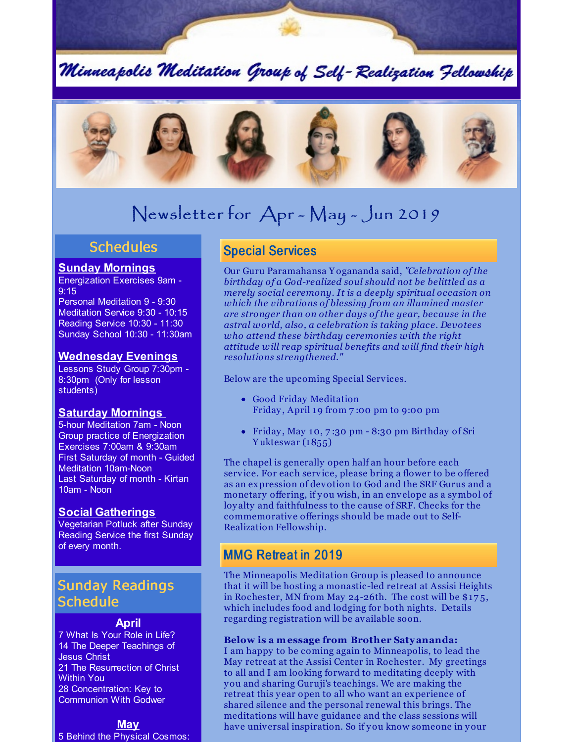Minneapolis Meditation Group of Self-Realization Fellowship



# Newsletter for Apr - May - Jun 2019

#### **Schedules**

#### **Sunday Mornings**

Energization Exercises 9am - 9:15

Personal Meditation 9 - 9:30 Meditation Service 9:30 - 10:15 Reading Service 10:30 - 11:30 Sunday School 10:30 - 11:30am

#### **Wednesday Evenings**

Lessons Study Group 7:30pm - 8:30pm (Only for lesson students)

#### **Saturday Mornings**

5-hour Meditation 7am - Noon Group practice of Energization Exercises 7:00am & 9:30am First Saturday of month - Guided Meditation 10am-Noon Last Saturday of month - Kirtan 10am - Noon

#### **Social Gatherings**

Vegetarian Potluck after Sunday Reading Service the first Sunday of every month.

# Sunday Readings **Schedule**

#### **April**

7 What Is Your Role in Life? 14 The Deeper Teachings of Jesus Christ 21 The Resurrection of Christ Within You 28 Concentration: Key to Communion With Godwer

#### **May**

5 Behind the Physical Cosmos:

# Special Services

Our Guru Paramahansa Y ogananda said, *"Celebration of the birthday of a God-realized soul should not be belittled as a merely social ceremony. It is a deeply spiritual occasion on which the vibrations of blessing from an illumined master are stronger than on other days of the year, because in the astral world, also, a celebration is taking place. Devotees who attend these birthday ceremonies with the right attitude will reap spiritual benefits and will find their high resolutions strengthened."*

Below are the upcoming Special Services.

- Good Friday Meditation Friday, April 19 from 7:00 pm to 9:00 pm
- Friday , May 10, 7 :30 pm 8:30 pm Birthday of Sri Y ukteswar (1855)

The chapel is generally open half an hour before each service. For each service, please bring a flower to be offered as an expression of devotion to God and the SRF Gurus and a monetary offering, if you wish, in an envelope as a symbol of loy alty and faithfulness to the cause of SRF. Checks for the commemorative offerings should be made out to Self-Realization Fellowship.

### MMG Retreat in 2019

The Minneapolis Meditation Group is pleased to announce that it will be hosting a monastic-led retreat at Assisi Heights in Rochester, MN from May 24-26th. The cost will be \$17 5, which includes food and lodging for both nights. Details regarding registration will be available soon.

#### **Below is a message from Brother Satyananda:**

I am happy to be coming again to Minneapolis, to lead the May retreat at the Assisi Center in Rochester. My greetings to all and I am looking forward to meditating deeply with you and sharing Guruji's teachings. We are making the retreat this year open to all who want an experience of shared silence and the personal renewal this brings. The meditations will have guidance and the class sessions will have universal inspiration. So if you know someone in your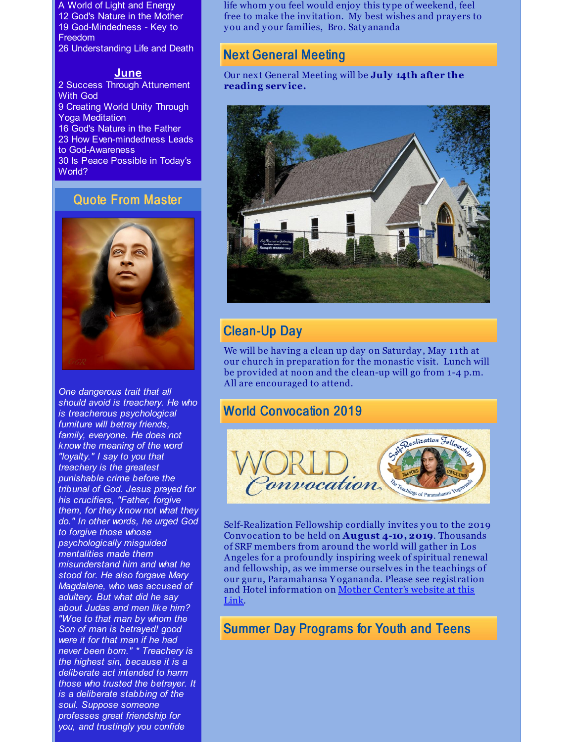A World of Light and Energy 12 God's Nature in the Mother 19 God-Mindedness - Key to Freedom 26 Understanding Life and Death

#### **June**

2 Success Through Attunement With God 9 Creating World Unity Through Yoga Meditation 16 God's Nature in the Father 23 How Even-mindedness Leads to God-Awareness 30 Is Peace Possible in Today's World?

### Quote From Master



*One dangerous trait that all should avoid is treachery. He who is treacherous psychological furniture will betray friends, family, everyone. He does not know the meaning of the word "loyalty." I say to you that treachery is the greatest punishable crime before the tribunal of God. Jesus prayed for his crucifiers, "Father, forgive them, for they know not what they do." In other words, he urged God to forgive those whose psychologically misguided mentalities made them misunderstand him and what he stood for. He also forgave Mary Magdalene, who was accused of adultery. But what did he say about Judas and men like him? "Woe to that man by whom the Son of man is betrayed! good were it for that man if he had never been bom." \* Treachery is the highest sin, because it is a deliberate act intended to harm those who trusted the betrayer. It is a deliberate stabbing of the soul. Suppose someone professes great friendship for you, and trustingly you confide*

life whom you feel would enjoy this type of weekend, feel free to make the invitation. My best wishes and pray ers to you and your families, Bro. Saty ananda

### Next General Meeting

Our next General Meeting will be **July 14th after the reading service.**



# Clean-Up Day

We will be having a clean up day on Saturday, May 11th at our church in preparation for the monastic visit. Lunch will be provided at noon and the clean-up will go from 1 -4 p.m. All are encouraged to attend.

### World Convocation 2019



Self-Realization Fellowship cordially invites you to the 2019 Convocation to be held on **August 4-10, 2019**. Thousands of SRF members from around the world will gather in Los Angeles for a profoundly inspiring week of spiritual renewal and fellowship, as we immerse ourselves in the teachings of our guru, Paramahansa Y ogananda. Please see registration and Hotel [information](http://www.yogananda-srf.org/srf_world_convocation.aspx#.XKGBkZhKiUk) on Mother Center's website at this Link.

### Summer Day Programs for Youth and Teens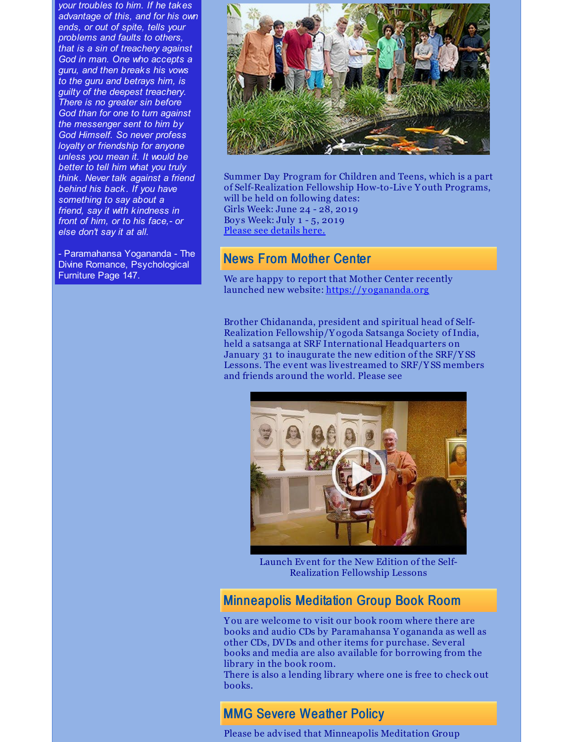*your troubles to him. If he takes advantage of this, and for his own ends, or out of spite, tells your problems and faults to others, that is a sin of treachery against God in man. One who accepts a guru, and then breaks his vows to the guru and betrays him, is guilty of the deepest treachery. There is no greater sin before God than for one to turn against the messenger sent to him by God Himself. So never profess loyalty or friendship for anyone unless you mean it. It would be better to tell him what you truly think. Never talk against a friend behind his back. If you have something to say about a friend, say it with kindness in front of him, or to his face,- or else don't say it at all.*

- Paramahansa Yogananda - The Divine Romance, Psychological Furniture Page 147.



Summer Day Program for Children and Teens, which is a part of Self-Realization Fellowship How-to-Live Y outh Programs, will be held on following dates: Girls Week: June 24 - 28, 2019 Boy s Week: July 1 - 5, 2019 Please see [details](https://yogananda.org/summer-day-program#Overview) here.

# News From Mother Center

We are happy to report that Mother Center recently launched new website: <https://yogananda.org>

Brother Chidananda, president and spiritual head of Self-Realization Fellowship/Y ogoda Satsanga Society of India, held a satsanga at SRF International Headquarters on January 31 to inaugurate the new edition of the SRF/Y SS Lessons. The event was livestreamed to SRF/Y SS members and friends around the world. Please see



Launch Event for the New Edition of the Self-Realization Fellowship Lessons

### Minneapolis Meditation Group Book Room

Y ou are welcome to visit our book room where there are books and audio CDs by Paramahansa Y ogananda as well as other CDs, DVDs and other items for purchase. Several books and media are also available for borrowing from the library in the book room.

There is also a lending library where one is free to check out books.

### MMG Severe Weather Policy

Please be advised that Minneapolis Meditation Group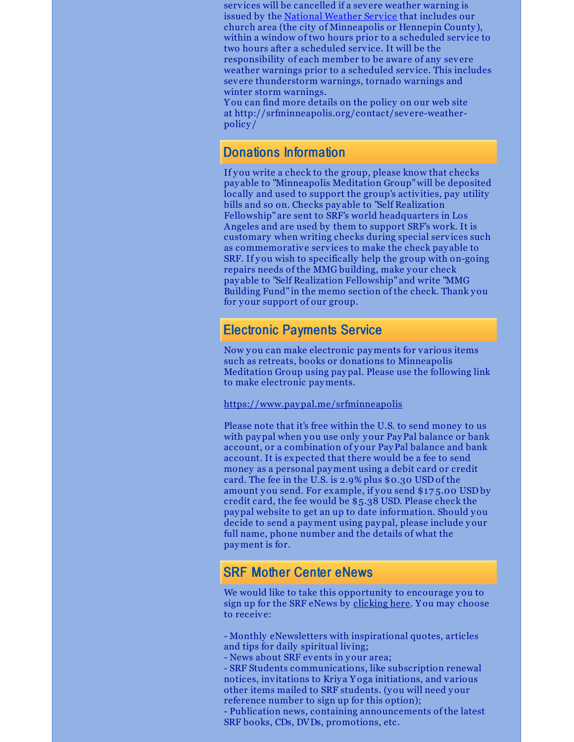services will be cancelled if a severe weather warning is issued by the [National](https://forecast.weather.gov/MapClick.php?CityName=Minneapolis&state=MN&site=MPX&textField1=44.9618&textField2=-93.2668&e=0) Weather Service that includes our church area (the city of Minneapolis or Hennepin County ), within a window of two hours prior to a scheduled service to two hours after a scheduled service. It will be the responsibility of each member to be aware of any severe weather warnings prior to a scheduled service. This includes severe thunderstorm warnings, tornado warnings and winter storm warnings.

Y ou can find more details on the policy on our web site at http://srfminneapolis.org/contact/severe-weatherpolicy /

### Donations Information

If you write a check to the group, please know that checks pay able to "Minneapolis Meditation Group"will be deposited locally and used to support the group's activities, pay utility bills and so on. Checks pay able to "Self Realization Fellowship" are sent to SRF's world headquarters in Los Angeles and are used by them to support SRF's work. It is customary when writing checks during special services such as commemorative services to make the check pay able to SRF. If you wish to specifically help the group with on-going repairs needs of the MMG building, make your check pay able to "Self Realization Fellowship" and write "MMG Building Fund" in the memo section of the check. Thank you for your support of our group.

#### Electronic Payments Service

Now you can make electronic payments for various items such as retreats, books or donations to Minneapolis Meditation Group using paypal. Please use the following link to make electronic payments.

#### <https://www.paypal.me/srfminneapolis>

Please note that it's free within the U.S. to send money to us with paypal when you use only your PayPal balance or bank account, or a combination of your PayPal balance and bank account. It is expected that there would be a fee to send money as a personal payment using a debit card or credit card. The fee in the U.S. is 2.9% plus \$0.30 USD of the amount you send. For example, if you send \$17 5.00 USD by credit card, the fee would be \$5.38 USD. Please check the paypal website to get an up to date information. Should you decide to send a payment using paypal, please include your full name, phone number and the details of what the payment is for.

### SRF Mother Center eNews

We would like to take this opportunity to encourage you to sign up for the SRF eNews by [clicking](https://members.yogananda-srf.org/MemberPortal/Account/RegisterEmail) here. Y ou may choose to receive:

- Monthly eNewsletters with inspirational quotes, articles and tips for daily spiritual living;

- News about SRF events in your area;

- SRF Students communications, like subscription renewal notices, invitations to Kriya Yoga initiations, and various other items mailed to SRF students. (you will need your reference number to sign up for this option);

- Publication news, containing announcements of the latest SRF books, CDs, DVDs, promotions, etc.